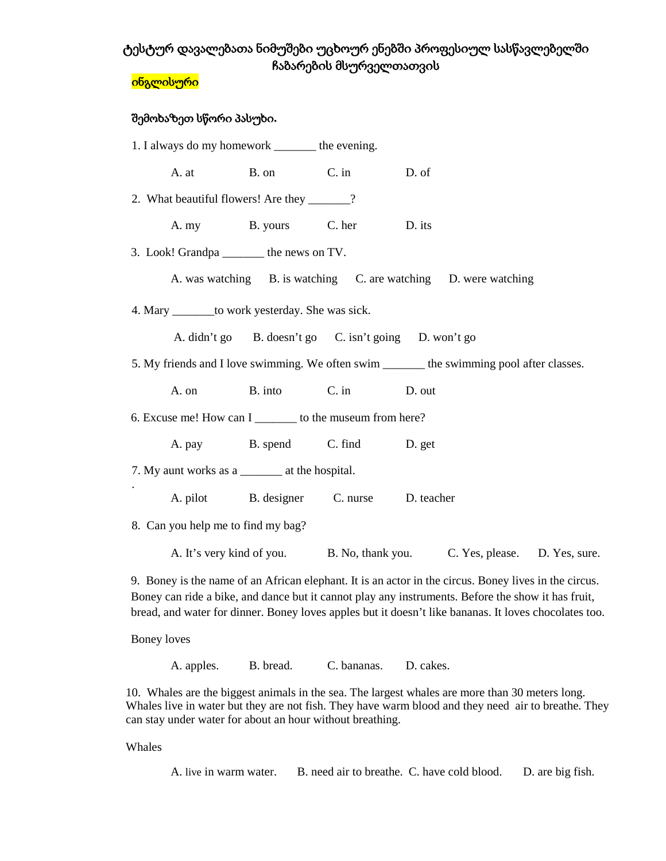# ტესტურ დავალებათა ნიმუშები უცხოურ ენებში პროფესიულ სასწავლებელში ჩაბარების მსურველთათვის

#### ინგლისური

### შემოხაზეთ სწორი პასუხი**.**

| 1. I always do my homework ________ the evening.                                           |                                                   |                                                       |                                                                           |        |                                                                 |  |  |  |
|--------------------------------------------------------------------------------------------|---------------------------------------------------|-------------------------------------------------------|---------------------------------------------------------------------------|--------|-----------------------------------------------------------------|--|--|--|
|                                                                                            |                                                   | A. at B. on C. in                                     |                                                                           | D. of  |                                                                 |  |  |  |
| 2. What beautiful flowers! Are they ______?                                                |                                                   |                                                       |                                                                           |        |                                                                 |  |  |  |
|                                                                                            |                                                   | A. my B. yours C. her                                 |                                                                           | D. its |                                                                 |  |  |  |
|                                                                                            |                                                   | 3. Look! Grandpa ________ the news on TV.             |                                                                           |        |                                                                 |  |  |  |
|                                                                                            |                                                   |                                                       |                                                                           |        | A. was watching B. is watching C. are watching D. were watching |  |  |  |
|                                                                                            | 4. Mary ________ to work yesterday. She was sick. |                                                       |                                                                           |        |                                                                 |  |  |  |
|                                                                                            |                                                   | A. didn't go B. doesn't go C. isn't going D. won't go |                                                                           |        |                                                                 |  |  |  |
| 5. My friends and I love swimming. We often swim ________ the swimming pool after classes. |                                                   |                                                       |                                                                           |        |                                                                 |  |  |  |
|                                                                                            | A. on                                             |                                                       | B. into C. in                                                             | D. out |                                                                 |  |  |  |
| 6. Excuse me! How can I ________ to the museum from here?                                  |                                                   |                                                       |                                                                           |        |                                                                 |  |  |  |
|                                                                                            |                                                   | A. pay B. spend C. find D. get                        |                                                                           |        |                                                                 |  |  |  |
| 7. My aunt works as a _________ at the hospital.                                           |                                                   |                                                       |                                                                           |        |                                                                 |  |  |  |
|                                                                                            |                                                   | A. pilot B. designer C. nurse D. teacher              |                                                                           |        |                                                                 |  |  |  |
| 8. Can you help me to find my bag?                                                         |                                                   |                                                       |                                                                           |        |                                                                 |  |  |  |
|                                                                                            |                                                   |                                                       | A. It's very kind of you. B. No, thank you. C. Yes, please. D. Yes, sure. |        |                                                                 |  |  |  |

9. Boney is the name of an African elephant. It is an actor in the circus. Boney lives in the circus. Boney can ride a bike, and dance but it cannot play any instruments. Before the show it has fruit, bread, and water for dinner. Boney loves apples but it doesn't like bananas. It loves chocolates too.

Boney loves

A. apples. B. bread. C. bananas. D. cakes.

10. Whales are the biggest animals in the sea. The largest whales are more than 30 meters long. Whales live in water but they are not fish. They have warm blood and they need air to breathe. They can stay under water for about an hour without breathing.

Whales

A. live in warm water. B. need air to breathe. C. have cold blood. D. are big fish.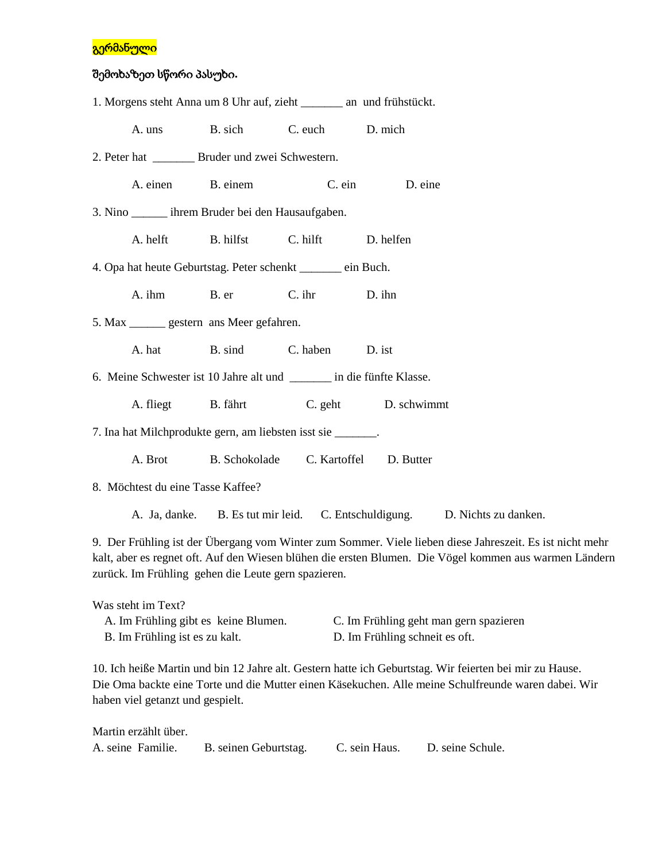### გერმანული

# შემოხაზეთ სწორი პასუხი**.**

| 1. Morgens steht Anna um 8 Uhr auf, zieht ______ an und frühstückt.    |                                                      |                 |                |                      |  |  |  |
|------------------------------------------------------------------------|------------------------------------------------------|-----------------|----------------|----------------------|--|--|--|
|                                                                        | A. uns B. sich                                       | C. euch D. mich |                |                      |  |  |  |
| 2. Peter hat __________ Bruder und zwei Schwestern.                    |                                                      |                 |                |                      |  |  |  |
| A. einen B. einem                                                      |                                                      |                 | C. ein D. eine |                      |  |  |  |
| 3. Nino ______ ihrem Bruder bei den Hausaufgaben.                      |                                                      |                 |                |                      |  |  |  |
|                                                                        | A. helft B. hilfst C. hilft D. helfen                |                 |                |                      |  |  |  |
| 4. Opa hat heute Geburtstag. Peter schenkt ______ ein Buch.            |                                                      |                 |                |                      |  |  |  |
|                                                                        | A. ihm B. er                                         | $C.$ ihr        | D. ihn         |                      |  |  |  |
| 5. Max ________ gestern ans Meer gefahren.                             |                                                      |                 |                |                      |  |  |  |
|                                                                        | A. hat B. sind C. haben                              |                 | D. ist         |                      |  |  |  |
| 6. Meine Schwester ist 10 Jahre alt und ________ in die fünfte Klasse. |                                                      |                 |                |                      |  |  |  |
|                                                                        | A. fliegt B. fährt C. geht D. schwimmt               |                 |                |                      |  |  |  |
| 7. Ina hat Milchprodukte gern, am liebsten isst sie _______.           |                                                      |                 |                |                      |  |  |  |
|                                                                        | A. Brot B. Schokolade C. Kartoffel D. Butter         |                 |                |                      |  |  |  |
| 8. Möchtest du eine Tasse Kaffee?                                      |                                                      |                 |                |                      |  |  |  |
|                                                                        | A. Ja, danke. B. Es tut mir leid. C. Entschuldigung. |                 |                | D. Nichts zu danken. |  |  |  |

9. Der Frühling ist der Übergang vom Winter zum Sommer. Viele lieben diese Jahreszeit. Es ist nicht mehr kalt, aber es regnet oft. Auf den Wiesen blühen die ersten Blumen. Die Vögel kommen aus warmen Ländern zurück. Im Frühling gehen die Leute gern spazieren.

Was steht im Text? A. Im Frühling gibt es keine Blumen. C. Im Frühling geht man gern spazieren B. Im Frühling ist es zu kalt. D. Im Frühling schneit es oft.

10. Ich heiße Martin und bin 12 Jahre alt. Gestern hatte ich Geburtstag. Wir feierten bei mir zu Hause. Die Oma backte eine Torte und die Mutter einen Käsekuchen. Alle meine Schulfreunde waren dabei. Wir haben viel getanzt und gespielt.

| Martin erzählt über. |                       |               |                  |
|----------------------|-----------------------|---------------|------------------|
| A. seine Familie.    | B. seinen Geburtstag. | C. sein Haus. | D. seine Schule. |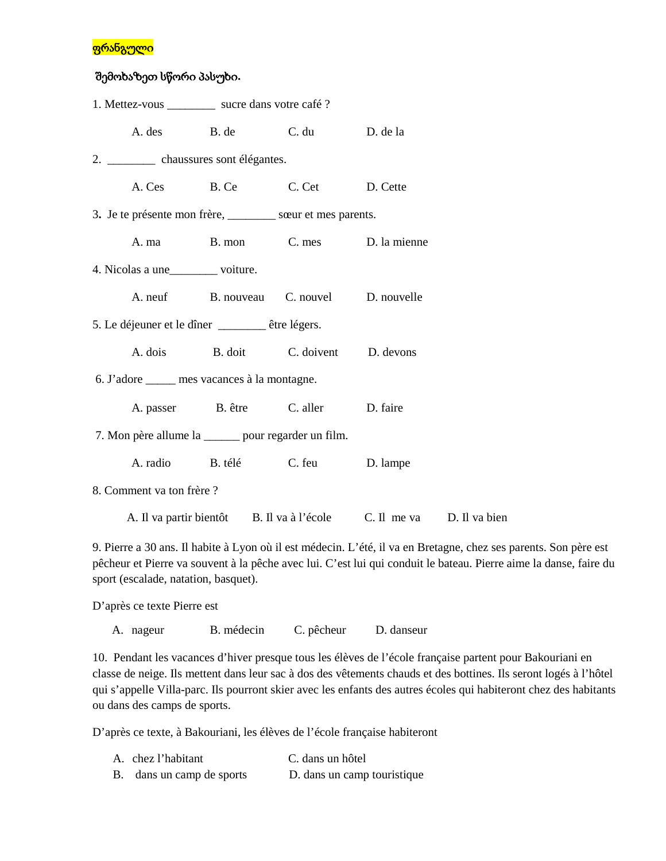## <mark>ფრანგული</mark>

## შემოხაზეთ სწორი პასუხი**.**

| 1. Mettez-vous ___________ sucre dans votre café ?           |                                               |                                                                      |                                          |          |  |  |  |  |
|--------------------------------------------------------------|-----------------------------------------------|----------------------------------------------------------------------|------------------------------------------|----------|--|--|--|--|
|                                                              |                                               | A. des B. de                                                         | C. du D. de la                           |          |  |  |  |  |
| 2. _____________ chaussures sont élégantes.                  |                                               |                                                                      |                                          |          |  |  |  |  |
|                                                              |                                               |                                                                      | A. Ces B. Ce C. Cet D. Cette             |          |  |  |  |  |
| 3. Je te présente mon frère, __________ sœur et mes parents. |                                               |                                                                      |                                          |          |  |  |  |  |
|                                                              |                                               |                                                                      | A. ma B. mon C. mes D. la mienne         |          |  |  |  |  |
| 4. Nicolas a une__________ voiture.                          |                                               |                                                                      |                                          |          |  |  |  |  |
|                                                              |                                               |                                                                      | A. neuf B. nouveau C. nouvel D. nouvelle |          |  |  |  |  |
| 5. Le déjeuner et le dîner _______ être légers.              |                                               |                                                                      |                                          |          |  |  |  |  |
|                                                              |                                               |                                                                      | A. dois B. doit C. doivent D. devons     |          |  |  |  |  |
|                                                              | 6. J'adore ______ mes vacances à la montagne. |                                                                      |                                          |          |  |  |  |  |
|                                                              |                                               |                                                                      | A. passer B. être C. aller D. faire      |          |  |  |  |  |
| 7. Mon père allume la ______ pour regarder un film.          |                                               |                                                                      |                                          |          |  |  |  |  |
|                                                              | A. radio                                      |                                                                      | B. télé C. feu                           | D. lampe |  |  |  |  |
| 8. Comment va ton frère ?                                    |                                               |                                                                      |                                          |          |  |  |  |  |
|                                                              |                                               | A. Il va partir bientôt B. Il va à l'école C. Il me va D. Il va bien |                                          |          |  |  |  |  |
|                                                              |                                               |                                                                      |                                          |          |  |  |  |  |

9. Pierre a 30 ans. Il habite à Lyon où il est médecin. L'été, il va en Bretagne, chez ses parents. Son père est pêcheur et Pierre va souvent à la pêche avec lui. C'est lui qui conduit le bateau. Pierre aime la danse, faire du sport (escalade, natation, basquet).

D'après ce texte Pierre est

A. nageur B. médecin C. pêcheur D. danseur

10. Pendant les vacances d'hiver presque tous les élèves de l'école française partent pour Bakouriani en classe de neige. Ils mettent dans leur sac à dos des vêtements chauds et des bottines. Ils seront logés à l'hôtel qui s'appelle Villa-parc. Ils pourront skier avec les enfants des autres écoles qui habiteront chez des habitants ou dans des camps de sports.

D'après ce texte, à Bakouriani, les élèves de l'école française habiteront

| A. chez l'habitant        | C. dans un hôtel            |
|---------------------------|-----------------------------|
| B. dans un camp de sports | D. dans un camp touristique |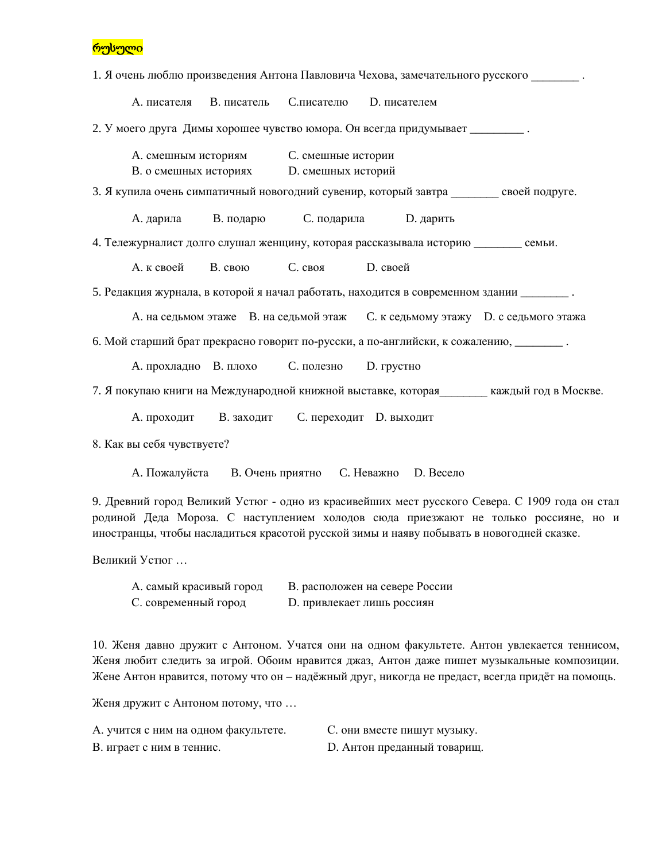რუსული

1. Я очень люблю произведения Антона Павловича Чехова, замечательного русского \_\_\_\_\_\_\_\_ А. писателя B. писатель C.писателю D. писателем 2. У моего друга Димы хорошее чувство юмора. Он всегда придумывает A. смешным историям C. смешные истории B. о смешных историях D. смешных историй 3. Я купила очень симпатичный новогодний сувенир, который завтра своей подруге. A. дарила B. подарю C. подарила D. дарить 4. Тележурналист долго слушал женщину, которая рассказывала историю \_\_\_\_\_\_\_\_ семьи. А. к своей B. свою C. своя D. своей 5. Редакция журнала, в которой я начал работать, находится в современном здании \_\_\_\_\_\_\_\_ . A. на седьмом этаже B. на седьмой этаж C. к седьмому этажу D. с седьмого этажа 6. Мой старший брат прекрасно говорит по-русски, а по-английски, к сожалению, \_\_\_\_\_\_\_\_ . A. прохладно B. плохо C. полезно D. грустно 7. Я покупаю книги на Международной книжной выставке, которая и праждый год в Москве. A. проходит B. заходит C. переходит D. выходит 8. Как вы себя чувствуете?

A. Пожалуйста B. Очень приятно C. Неважно D. Весело

9. Древний город Великий Устюг - одно из красивейших мест русского Севера. С 1909 года он стал родиной Деда Мороза. С наступлением холодов сюда приезжают не только россияне, но и иностранцы, чтобы насладиться красотой русской зимы и наяву побывать в новогодней сказке.

Великий Устюг …

| А. самый красивый город | В. расположен на севере России |
|-------------------------|--------------------------------|
| С. современный город    | D. привлекает лишь россиян     |

10. Женя давно дружит с Антоном. Учатся они на одном факультете. Антон увлекается теннисом, Женя любит следить за игрой. Обоим нравится джаз, Антон даже пишет музыкальные композиции. Жене Антон нравится, потому что он – надёжный друг, никогда не предаст, всегда придёт на помощь.

Женя дружит с Антоном потому, что …

А. учится с ним на одном факультете. С. они вместе пишут музыку. В. играет с ним в теннис. В. Антон преданный товарищ.